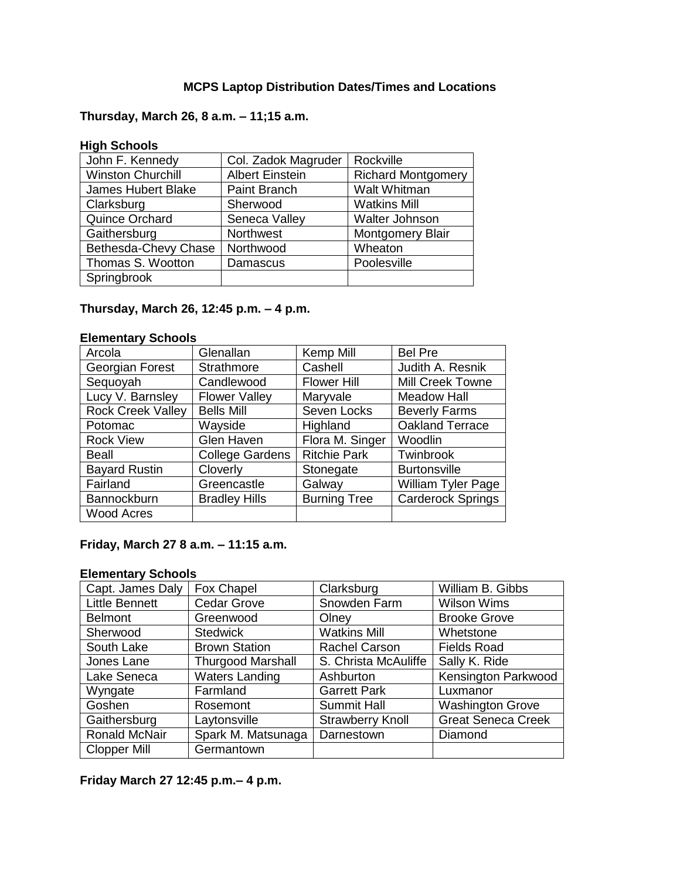## **MCPS Laptop Distribution Dates/Times and Locations**

# **Thursday, March 26, 8 a.m. – 11;15 a.m.**

### **High Schools**

| John F. Kennedy      | Col. Zadok Magruder    | Rockville                 |
|----------------------|------------------------|---------------------------|
| Winston Churchill    | <b>Albert Einstein</b> | <b>Richard Montgomery</b> |
| James Hubert Blake   | Paint Branch           | Walt Whitman              |
| Clarksburg           | Sherwood               | <b>Watkins Mill</b>       |
| Quince Orchard       | Seneca Valley          | Walter Johnson            |
| Gaithersburg         | Northwest              | Montgomery Blair          |
| Bethesda-Chevy Chase | Northwood              | Wheaton                   |
| Thomas S. Wootton    | Damascus               | Poolesville               |
| Springbrook          |                        |                           |

# **Thursday, March 26, 12:45 p.m. – 4 p.m.**

### **Elementary Schools**

| Arcola                   | Glenallan              | Kemp Mill           | <b>Bel Pre</b>            |  |
|--------------------------|------------------------|---------------------|---------------------------|--|
| Georgian Forest          | <b>Strathmore</b>      | Cashell             | Judith A. Resnik          |  |
| Sequoyah                 | Candlewood             | <b>Flower Hill</b>  | Mill Creek Towne          |  |
| Lucy V. Barnsley         | <b>Flower Valley</b>   | Maryvale            | <b>Meadow Hall</b>        |  |
| <b>Rock Creek Valley</b> | <b>Bells Mill</b>      | Seven Locks         | <b>Beverly Farms</b>      |  |
| Potomac                  | Wayside                | Highland            | Oakland Terrace           |  |
| <b>Rock View</b>         | Glen Haven             | Flora M. Singer     | Woodlin                   |  |
| Beall                    | <b>College Gardens</b> | <b>Ritchie Park</b> | Twinbrook                 |  |
| <b>Bayard Rustin</b>     | Cloverly               | Stonegate           | <b>Burtonsville</b>       |  |
| Fairland                 | Greencastle            | Galway              | <b>William Tyler Page</b> |  |
| Bannockburn              | <b>Bradley Hills</b>   | <b>Burning Tree</b> | <b>Carderock Springs</b>  |  |
| <b>Wood Acres</b>        |                        |                     |                           |  |

## **Friday, March 27 8 a.m. – 11:15 a.m.**

#### **Elementary Schools**

| Capt. James Daly      | Fox Chapel               | Clarksburg              | William B. Gibbs           |
|-----------------------|--------------------------|-------------------------|----------------------------|
| <b>Little Bennett</b> | <b>Cedar Grove</b>       | Snowden Farm            | <b>Wilson Wims</b>         |
| <b>Belmont</b>        | Greenwood                | Olney                   | <b>Brooke Grove</b>        |
| Sherwood              | <b>Stedwick</b>          | <b>Watkins Mill</b>     | Whetstone                  |
| South Lake            | <b>Brown Station</b>     | <b>Rachel Carson</b>    | <b>Fields Road</b>         |
| Jones Lane            | <b>Thurgood Marshall</b> | S. Christa McAuliffe    | Sally K. Ride              |
| Lake Seneca           | <b>Waters Landing</b>    | Ashburton               | <b>Kensington Parkwood</b> |
| Wyngate               | Farmland                 | <b>Garrett Park</b>     | Luxmanor                   |
| Goshen                | Rosemont                 | Summit Hall             | <b>Washington Grove</b>    |
| Gaithersburg          | Laytonsville             | <b>Strawberry Knoll</b> | <b>Great Seneca Creek</b>  |
| Ronald McNair         | Spark M. Matsunaga       | Darnestown              | Diamond                    |
| <b>Clopper Mill</b>   | Germantown               |                         |                            |

**Friday March 27 12:45 p.m.– 4 p.m.**